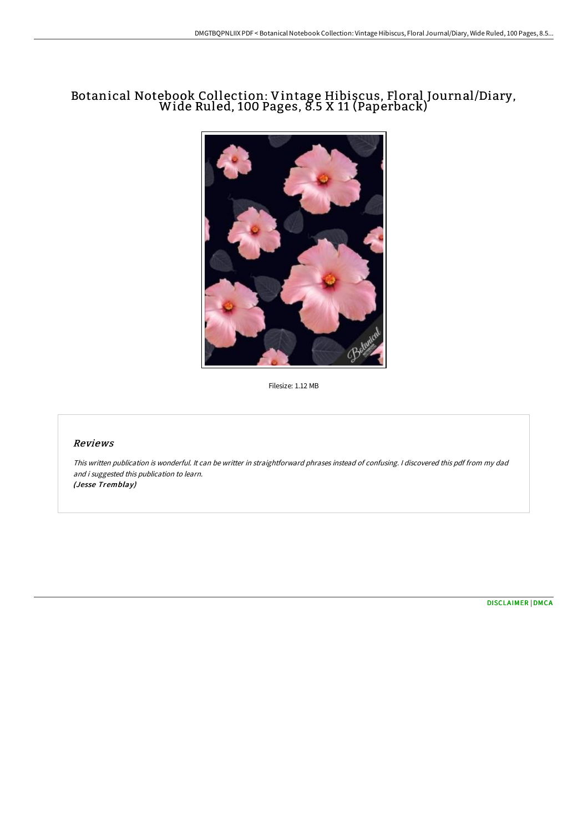## Botanical Notebook Collection: Vintage Hibiscus, Floral Journal/Diary, Wide Ruled, <sup>100</sup> Pages, 8.5 <sup>X</sup> <sup>11</sup> (Paperback)



Filesize: 1.12 MB

## Reviews

This written publication is wonderful. It can be writter in straightforward phrases instead of confusing. <sup>I</sup> discovered this pdf from my dad and i suggested this publication to learn. (Jesse Tremblay)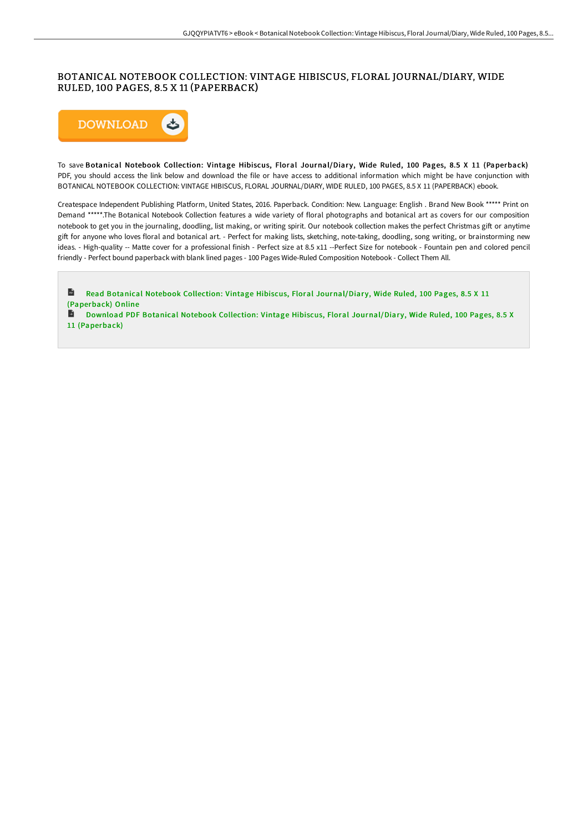## BOTANICAL NOTEBOOK COLLECTION: VINTAGE HIBISCUS, FLORAL JOURNAL/DIARY, WIDE RULED, 100 PAGES, 8.5 X 11 (PAPERBACK)



To save Botanical Notebook Collection: Vintage Hibiscus, Floral Journal/Diary, Wide Ruled, 100 Pages, 8.5 X 11 (Paperback) PDF, you should access the link below and download the file or have access to additional information which might be have conjunction with BOTANICAL NOTEBOOK COLLECTION: VINTAGE HIBISCUS, FLORAL JOURNAL/DIARY, WIDE RULED, 100 PAGES, 8.5 X 11 (PAPERBACK) ebook.

Createspace Independent Publishing Platform, United States, 2016. Paperback. Condition: New. Language: English . Brand New Book \*\*\*\*\* Print on Demand \*\*\*\*\*.The Botanical Notebook Collection features a wide variety of floral photographs and botanical art as covers for our composition notebook to get you in the journaling, doodling, list making, or writing spirit. Our notebook collection makes the perfect Christmas gift or anytime gift for anyone who loves floral and botanical art. - Perfect for making lists, sketching, note-taking, doodling, song writing, or brainstorming new ideas. - High-quality -- Matte cover for a professional finish - Perfect size at 8.5 x11 --Perfect Size for notebook - Fountain pen and colored pencil friendly - Perfect bound paperback with blank lined pages - 100 Pages Wide-Ruled Composition Notebook - Collect Them All.

 $\mathbf{H}$ Read Botanical Notebook Collection: Vintage Hibiscus, Floral [Journal/Diar](http://albedo.media/botanical-notebook-collection-vintage-hibiscus-f.html)y, Wide Ruled, 100 Pages, 8.5 X 11 (Paperback) Online В Download PDF Botanical Notebook Collection: Vintage Hibiscus, Floral [Journal/Diar](http://albedo.media/botanical-notebook-collection-vintage-hibiscus-f.html)y, Wide Ruled, 100 Pages, 8.5 X 11 (Paperback)